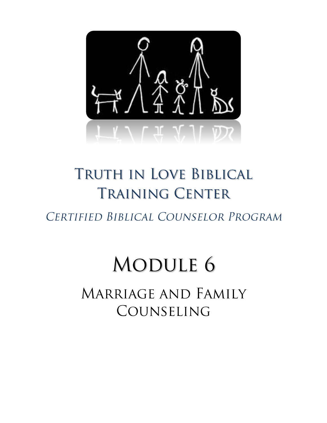

# TRUTH IN LOVE BIBLICAL **TRAINING CENTER**

CERTIFIED BIBLICAL COUNSELOR PROGRAM

# **MODULE 6**

MARRIAGE AND FAMILY COUNSELING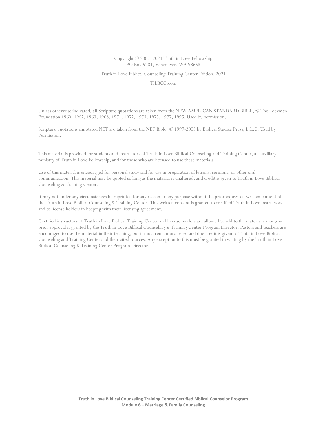#### Copyright © 2002–2021 Truth in Love Fellowship PO Box 5281, Vancouver, WA 98668

Truth in Love Biblical Counseling Training Center Edition, 2021

TILBCC.com

Unless otherwise indicated, all Scripture quotations are taken from the NEW AMERICAN STANDARD BIBLE, © The Lockman Foundation 1960, 1962, 1963, 1968, 1971, 1972, 1973, 1975, 1977, 1995. Used by permission.

Scripture quotations annotated NET are taken from the NET Bible, © 1997-2003 by Biblical Studies Press, L.L.C. Used by Permission.

This material is provided for students and instructors of Truth in Love Biblical Counseling and Training Center, an auxiliary ministry of Truth in Love Fellowship, and for those who are licensed to use these materials.

Use of this material is encouraged for personal study and for use in preparation of lessons, sermons, or other oral communication. This material may be quoted so long as the material is unaltered, and credit is given to Truth in Love Biblical Counseling & Training Center.

It may not under any circumstances be reprinted for any reason or any purpose without the prior expressed written consent of the Truth in Love Biblical Counseling & Training Center. This written consent is granted to certified Truth in Love instructors, and to license holders in keeping with their licensing agreement.

Certified instructors of Truth in Love Biblical Training Center and license holders are allowed to add to the material so long as prior approval is granted by the Truth in Love Biblical Counseling & Training Center Program Director. Pastors and teachers are encouraged to use the material in their teaching, but it must remain unaltered and due credit is given to Truth in Love Biblical Counseling and Training Center and their cited sources. Any exception to this must be granted in writing by the Truth in Love Biblical Counseling & Training Center Program Director.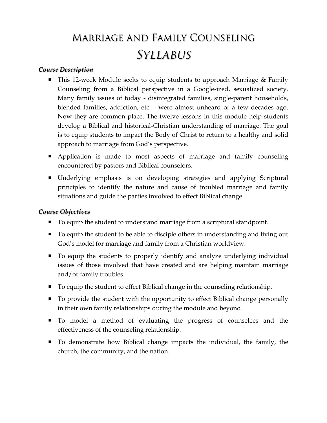## **MARRIAGE AND FAMILY COUNSELING SYLLABUS**

### *Course Description*

- This 12-week Module seeks to equip students to approach Marriage & Family Counseling from a Biblical perspective in a Google-ized, sexualized society. Many family issues of today - disintegrated families, single-parent households, blended families, addiction, etc. - were almost unheard of a few decades ago. Now they are common place. The twelve lessons in this module help students develop a Biblical and historical-Christian understanding of marriage. The goal is to equip students to impact the Body of Christ to return to a healthy and solid approach to marriage from God's perspective.
- Application is made to most aspects of marriage and family counseling encountered by pastors and Biblical counselors.
- Underlying emphasis is on developing strategies and applying Scriptural principles to identify the nature and cause of troubled marriage and family situations and guide the parties involved to effect Biblical change.

### *Course Objectives*

- To equip the student to understand marriage from a scriptural standpoint.
- To equip the student to be able to disciple others in understanding and living out God's model for marriage and family from a Christian worldview.
- To equip the students to properly identify and analyze underlying individual issues of those involved that have created and are helping maintain marriage and/or family troubles.
- To equip the student to effect Biblical change in the counseling relationship.
- To provide the student with the opportunity to effect Biblical change personally in their own family relationships during the module and beyond.
- $\blacksquare$  To model a method of evaluating the progress of counselees and the effectiveness of the counseling relationship.
- To demonstrate how Biblical change impacts the individual, the family, the church, the community, and the nation.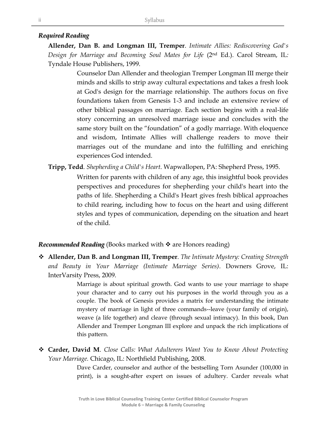### *Required Reading*

**Allender, Dan B. and Longman III, Tremper**. *Intimate Allies: Rediscovering God's Design for Marriage and Becoming Soul Mates for Life* (2nd Ed.). Carol Stream, IL*:*  Tyndale House Publishers, 1999.

> Counselor Dan Allender and theologian Tremper Longman III merge their minds and skills to strip away cultural expectations and takes a fresh look at God's design for the marriage relationship. The authors focus on five foundations taken from Genesis 1-3 and include an extensive review of other biblical passages on marriage. Each section begins with a real-life story concerning an unresolved marriage issue and concludes with the same story built on the "foundation" of a godly marriage. With eloquence and wisdom, Intimate Allies will challenge readers to move their marriages out of the mundane and into the fulfilling and enriching experiences God intended.

**Tripp, Tedd**. *Shepherding a Child's Heart*. Wapwallopen, PA: Shepherd Press, 1995.

Written for parents with children of any age, this insightful book provides perspectives and procedures for shepherding your child's heart into the paths of life. Shepherding a Child's Heart gives fresh biblical approaches to child rearing, including how to focus on the heart and using different styles and types of communication, depending on the situation and heart of the child.

#### *Recommended Reading* (Books marked with ❖ are Honors reading)

❖ **Allender, Dan B. and Longman III, Tremper**. *The Intimate Mystery: Creating Strength and Beauty in Your Marriage (Intimate Marriage Series)*. Downers Grove, IL: InterVarsity Press, 2009.

> Marriage is about spiritual growth. God wants to use your marriage to shape your character and to carry out his purposes in the world through you as a couple. The book of Genesis provides a matrix for understanding the intimate mystery of marriage in light of three commands--leave (your family of origin), weave (a life together) and cleave (through sexual intimacy). In this book, Dan Allender and Tremper Longman III explore and unpack the rich implications of this pattern.

❖ **Carder, David M**. *Close Calls: What Adulterers Want You to Know About Protecting Your Marriage.* Chicago, IL: Northfield Publishing, 2008.

> Dave Carder, counselor and author of the bestselling Torn Asunder (100,000 in print), is a sought-after expert on issues of adultery. Carder reveals what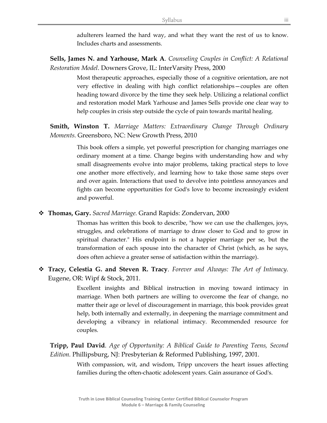adulterers learned the hard way, and what they want the rest of us to know. Includes charts and assessments.

**Sells, James N. and Yarhouse, Mark A**. *Counseling Couples in Conflict: A Relational Restoration Model*. Downers Grove, IL: InterVarsity Press, 2000

> Most therapeutic approaches, especially those of a cognitive orientation, are not very effective in dealing with high conflict relationships—couples are often heading toward divorce by the time they seek help. Utilizing a relational conflict and restoration model Mark Yarhouse and James Sells provide one clear way to help couples in crisis step outside the cycle of pain towards marital healing.

**Smith, Winston T.** *Marriage Matters: Extraordinary Change Through Ordinary Moments.* Greensboro, NC: New Growth Press, 2010

> This book offers a simple, yet powerful prescription for changing marriages one ordinary moment at a time. Change begins with understanding how and why small disagreements evolve into major problems, taking practical steps to love one another more effectively, and learning how to take those same steps over and over again. Interactions that used to devolve into pointless annoyances and fights can become opportunities for God's love to become increasingly evident and powerful.

❖ **Thomas, Gary.** *Sacred Marriage.* Grand Rapids: Zondervan, 2000

Thomas has written this book to describe, "how we can use the challenges, joys, struggles, and celebrations of marriage to draw closer to God and to grow in spiritual character." His endpoint is not a happier marriage per se, but the transformation of each spouse into the character of Christ (which, as he says, does often achieve a greater sense of satisfaction within the marriage).

❖ **Tracy, Celestia G. and Steven R. Tracy**. *Forever and Always: The Art of Intimacy.*  Eugene, OR: Wipf & Stock, 2011.

> Excellent insights and Biblical instruction in moving toward intimacy in marriage. When both partners are willing to overcome the fear of change, no matter their age or level of discouragement in marriage, this book provides great help, both internally and externally, in deepening the marriage commitment and developing a vibrancy in relational intimacy. Recommended resource for couples.

**Tripp, Paul David**. *Age of Opportunity: A Biblical Guide to Parenting Teens, Second Edition.* Phillipsburg, NJ: Presbyterian & Reformed Publishing, 1997, 2001.

> With compassion, wit, and wisdom, Tripp uncovers the heart issues affecting families during the often-chaotic adolescent years. Gain assurance of God's.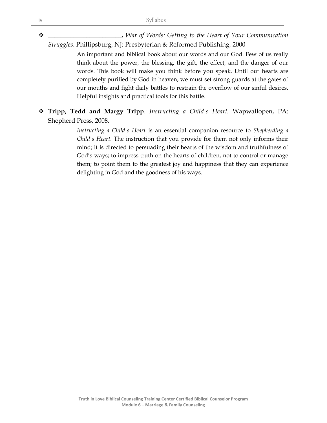❖ **\_\_\_\_\_\_\_\_\_\_\_\_\_\_\_\_\_\_\_\_\_\_\_.** *War of Words: Getting to the Heart of Your Communication Struggles*. Phillipsburg, NJ: Presbyterian & Reformed Publishing, 2000

> An important and biblical book about our words and our God. Few of us really think about the power, the blessing, the gift, the effect, and the danger of our words. This book will make you think before you speak. Until our hearts are completely purified by God in heaven, we must set strong guards at the gates of our mouths and fight daily battles to restrain the overflow of our sinful desires. Helpful insights and practical tools for this battle.

❖ **Tripp, Tedd and Margy Tripp**. *Instructing a Child's Heart.* Wapwallopen, PA: Shepherd Press, 2008.

> *Instructing a Child's Heart* is an essential companion resource to *Shepherding a Child's Heart*. The instruction that you provide for them not only informs their mind; it is directed to persuading their hearts of the wisdom and truthfulness of God's ways; to impress truth on the hearts of children, not to control or manage them; to point them to the greatest joy and happiness that they can experience delighting in God and the goodness of his ways.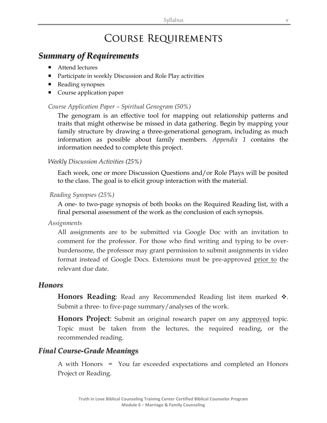### **COURSE REQUIREMENTS**

### *Summary of Requirements*

- Attend lectures
- Participate in weekly Discussion and Role Play activities
- Reading synopses
- Course application paper

### *Course Application Paper – Spiritual Genogram (50%)*

The genogram is an effective tool for mapping out relationship patterns and traits that might otherwise be missed in data gathering. Begin by mapping your family structure by drawing a three-generational genogram, including as much information as possible about family members. *Appendix 1* contains the information needed to complete this project.

### *Weekly Discussion Activities (25%)*

Each week, one or more Discussion Questions and/or Role Plays will be posited to the class. The goal is to elicit group interaction with the material.

#### *Reading Synopses (25%)*

A one- to two-page synopsis of both books on the Required Reading list, with a final personal assessment of the work as the conclusion of each synopsis.

#### *Assignments*

All assignments are to be submitted via Google Doc with an invitation to comment for the professor. For those who find writing and typing to be overburdensome, the professor may grant permission to submit assignments in video format instead of Google Docs. Extensions must be pre-approved prior to the relevant due date.

### *Honors*

**Honors Reading**: Read any Recommended Reading list item marked ❖. Submit a three- to five-page summary/analyses of the work.

**Honors Project**: Submit an original research paper on any approved topic. Topic must be taken from the lectures, the required reading, or the recommended reading.

### *Final Course-Grade Meanings*

A with Honors = You far exceeded expectations and completed an Honors Project or Reading.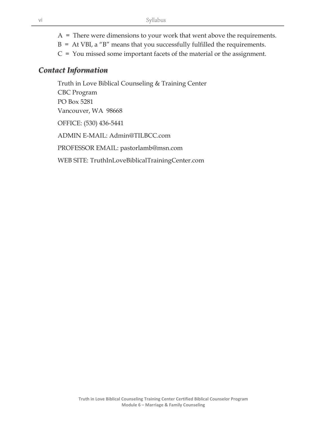$A =$  There were dimensions to your work that went above the requirements.

- $B = At VBI$ , a "B" means that you successfully fulfilled the requirements.
- $C = You$  missed some important facets of the material or the assignment.

### *Contact Information*

Truth in Love Biblical Counseling & Training Center CBC Program PO Box 5281 Vancouver, WA 98668 OFFICE: (530) 436-5441 ADMIN E-MAIL: Admin@TILBCC.com PROFESSOR EMAIL: pastorlamb@msn.com WEB SITE: TruthInLoveBiblicalTrainingCenter.com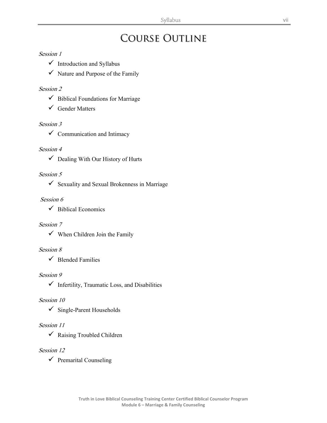### **COURSE OUTLINE**

### Session 1

- $\checkmark$  Introduction and Syllabus
- $\checkmark$  Nature and Purpose of the Family

### Session 2

- $\checkmark$  Biblical Foundations for Marriage
- $\checkmark$  Gender Matters

### Session 3

 $\checkmark$  Communication and Intimacy

### Session 4

 $\checkmark$  Dealing With Our History of Hurts

### Session 5

 $\checkmark$  Sexuality and Sexual Brokenness in Marriage

### Session 6

 $\checkmark$  Biblical Economics

### Session 7

 $\checkmark$  When Children Join the Family

### Session 8

 $\checkmark$  Blended Families

### Session 9

 $\checkmark$  Infertility, Traumatic Loss, and Disabilities

### Session 10

 $\checkmark$  Single-Parent Households

### Session 11

✓ Raising Troubled Children

### Session 12

 $\checkmark$  Premarital Counseling